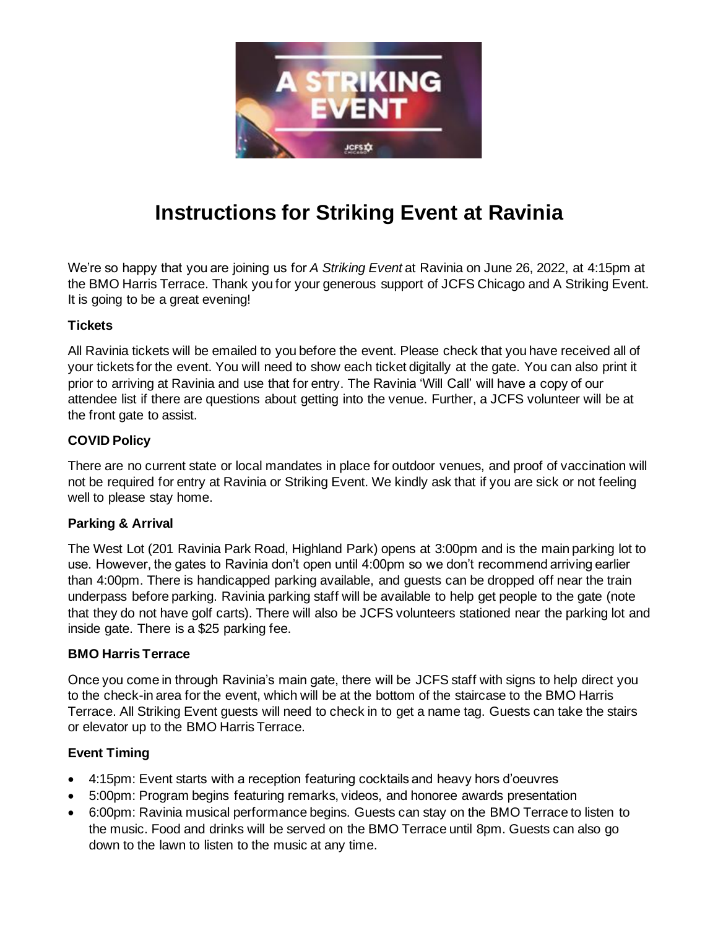

# **Instructions for Striking Event at Ravinia**

We're so happy that you are joining us for *A Striking Event* at Ravinia on June 26, 2022, at 4:15pm at the BMO Harris Terrace. Thank you for your generous support of JCFS Chicago and A Striking Event. It is going to be a great evening!

## **Tickets**

All Ravinia tickets will be emailed to you before the event. Please check that you have received all of your tickets for the event. You will need to show each ticket digitally at the gate. You can also print it prior to arriving at Ravinia and use that for entry. The Ravinia 'Will Call' will have a copy of our attendee list if there are questions about getting into the venue. Further, a JCFS volunteer will be at the front gate to assist.

## **COVID Policy**

There are no current state or local mandates in place for outdoor venues, and proof of vaccination will not be required for entry at Ravinia or Striking Event. We kindly ask that if you are sick or not feeling well to please stay home.

## **Parking & Arrival**

The West Lot (201 Ravinia Park Road, Highland Park) opens at 3:00pm and is the main parking lot to use. However, the gates to Ravinia don't open until 4:00pm so we don't recommend arriving earlier than 4:00pm. There is handicapped parking available, and guests can be dropped off near the train underpass before parking. Ravinia parking staff will be available to help get people to the gate (note that they do not have golf carts). There will also be JCFS volunteers stationed near the parking lot and inside gate. There is a \$25 parking fee.

## **BMO Harris Terrace**

Once you come in through Ravinia's main gate, there will be JCFS staff with signs to help direct you to the check-in area for the event, which will be at the bottom of the staircase to the BMO Harris Terrace. All Striking Event guests will need to check in to get a name tag. Guests can take the stairs or elevator up to the BMO Harris Terrace.

# **Event Timing**

- 4:15pm: Event starts with a reception featuring cocktails and heavy hors d'oeuvres
- 5:00pm: Program begins featuring remarks, videos, and honoree awards presentation
- 6:00pm: Ravinia musical performance begins. Guests can stay on the BMO Terrace to listen to the music. Food and drinks will be served on the BMO Terrace until 8pm. Guests can also go down to the lawn to listen to the music at any time.